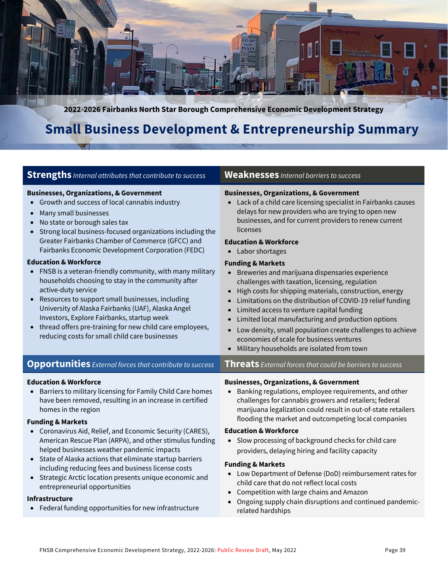

**2022-2026 Fairbanks North Star Borough Comprehensive Economic Development Strategy**

## **Small Business Development & Entrepreneurship Summary**

| <b>Strengths</b> Internal attributes that contribute to success                                                                                                                                                                                                                                                                                                                                                                                                                                                                                                                                                                                                                                                                                                                                                                            | <b>Weaknesses</b> Internal barriers to success                                                                                                                                                                                                                                                                                                                                                                                                                                                                                                                                                                                                                                                                                                                                                                    |
|--------------------------------------------------------------------------------------------------------------------------------------------------------------------------------------------------------------------------------------------------------------------------------------------------------------------------------------------------------------------------------------------------------------------------------------------------------------------------------------------------------------------------------------------------------------------------------------------------------------------------------------------------------------------------------------------------------------------------------------------------------------------------------------------------------------------------------------------|-------------------------------------------------------------------------------------------------------------------------------------------------------------------------------------------------------------------------------------------------------------------------------------------------------------------------------------------------------------------------------------------------------------------------------------------------------------------------------------------------------------------------------------------------------------------------------------------------------------------------------------------------------------------------------------------------------------------------------------------------------------------------------------------------------------------|
| <b>Businesses, Organizations, &amp; Government</b><br>Growth and success of local cannabis industry<br>Many small businesses<br>$\bullet$<br>No state or borough sales tax<br>Strong local business-focused organizations including the<br>Greater Fairbanks Chamber of Commerce (GFCC) and<br>Fairbanks Economic Development Corporation (FEDC)<br><b>Education &amp; Workforce</b><br>FNSB is a veteran-friendly community, with many military<br>$\bullet$<br>households choosing to stay in the community after<br>active-duty service<br>Resources to support small businesses, including<br>$\bullet$<br>University of Alaska Fairbanks (UAF), Alaska Angel<br>Investors, Explore Fairbanks, startup week<br>thread offers pre-training for new child care employees,<br>$\bullet$<br>reducing costs for small child care businesses | <b>Businesses, Organizations, &amp; Government</b><br>• Lack of a child care licensing specialist in Fairbanks causes<br>delays for new providers who are trying to open new<br>businesses, and for current providers to renew current<br>licenses<br><b>Education &amp; Workforce</b><br>• Labor shortages<br><b>Funding &amp; Markets</b><br>Breweries and marijuana dispensaries experience<br>challenges with taxation, licensing, regulation<br>High costs for shipping materials, construction, energy<br>Limitations on the distribution of COVID-19 relief funding<br>Limited access to venture capital funding<br>$\bullet$<br>Limited local manufacturing and production options<br>$\bullet$<br>Low density, small population create challenges to achieve<br>economies of scale for business ventures |
|                                                                                                                                                                                                                                                                                                                                                                                                                                                                                                                                                                                                                                                                                                                                                                                                                                            | Military households are isolated from town                                                                                                                                                                                                                                                                                                                                                                                                                                                                                                                                                                                                                                                                                                                                                                        |
| <b>Opportunities</b> External forces that contribute to success                                                                                                                                                                                                                                                                                                                                                                                                                                                                                                                                                                                                                                                                                                                                                                            | <b>Threats</b> External forces that could be barriers to success                                                                                                                                                                                                                                                                                                                                                                                                                                                                                                                                                                                                                                                                                                                                                  |
| <b>Education &amp; Workforce</b><br>Barriers to military licensing for Family Child Care homes<br>$\bullet$<br>have been removed, resulting in an increase in certified<br>homes in the region<br><b>Funding &amp; Markets</b>                                                                                                                                                                                                                                                                                                                                                                                                                                                                                                                                                                                                             | <b>Businesses, Organizations, &amp; Government</b><br>Banking regulations, employee requirements, and other<br>challenges for cannabis growers and retailers; federal<br>marijuana legalization could result in out-of-state retailers<br>flooding the market and outcompeting local companies                                                                                                                                                                                                                                                                                                                                                                                                                                                                                                                    |
| Coronavirus Aid, Relief, and Economic Security (CARES),<br>American Rescue Plan (ARPA), and other stimulus funding<br>helped businesses weather pandemic impacts<br>State of Alaska actions that eliminate startup barriers<br>$\bullet$<br>including reducing fees and business license costs<br>Strategic Arctic location presents unique economic and<br>$\bullet$<br>entrepreneurial opportunities                                                                                                                                                                                                                                                                                                                                                                                                                                     | <b>Education &amp; Workforce</b><br>• Slow processing of background checks for child care<br>providers, delaying hiring and facility capacity<br><b>Funding &amp; Markets</b><br>• Low Department of Defense (DoD) reimbursement rates for<br>child care that do not reflect local costs<br>Competition with large chains and Amazon                                                                                                                                                                                                                                                                                                                                                                                                                                                                              |
| <b>Infrastructure</b><br>• Federal funding opportunities for new infrastructure                                                                                                                                                                                                                                                                                                                                                                                                                                                                                                                                                                                                                                                                                                                                                            | Ongoing supply chain disruptions and continued pandemic-<br>related hardships                                                                                                                                                                                                                                                                                                                                                                                                                                                                                                                                                                                                                                                                                                                                     |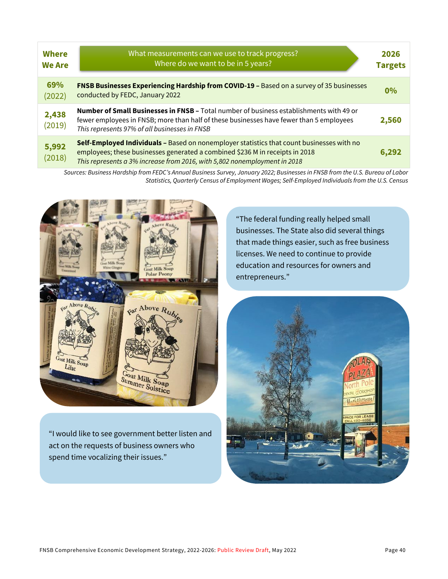| <b>Where</b><br><b>We Are</b> | What measurements can we use to track progress?<br>Where do we want to be in 5 years?                                                                                                                                                                  | 2026<br><b>Targets</b> |
|-------------------------------|--------------------------------------------------------------------------------------------------------------------------------------------------------------------------------------------------------------------------------------------------------|------------------------|
| 69%<br>(2022)                 | FNSB Businesses Experiencing Hardship from COVID-19 - Based on a survey of 35 businesses<br>conducted by FEDC, January 2022                                                                                                                            | $0\%$                  |
| 2,438<br>(2019)               | <b>Number of Small Businesses in FNSB - Total number of business establishments with 49 or</b><br>fewer employees in FNSB; more than half of these businesses have fewer than 5 employees<br>This represents 97% of all businesses in FNSB             | 2,560                  |
| 5,992<br>(2018)               | Self-Employed Individuals - Based on nonemployer statistics that count businesses with no<br>employees; these businesses generated a combined \$236 M in receipts in 2018<br>This represents a 3% increase from 2016, with 5,802 nonemployment in 2018 | 6,292                  |

*Sources: Business Hardship from FEDC's Annual Business Survey, January 2022; Businesses in FNSB from the U.S. Bureau of Labor Statistics, Quarterly Census of Employment Wages; Self-Employed Individuals from the U.S. Census*



"I would like to see government better listen and act on the requests of business owners who spend time vocalizing their issues."

"The federal funding really helped small businesses. The State also did several things that made things easier, such as free business licenses. We need to continue to provide education and resources for owners and entrepreneurs."

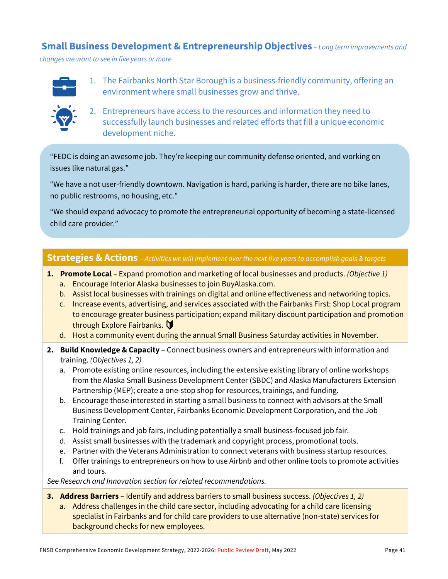#### **Small Business Development & EntrepreneurshipObjectives** *– Long term improvements and*

*changes we want to see in five years or more*



1. The Fairbanks North Star Borough is a business-friendly community, offering an environment where small businesses grow and thrive.



2. Entrepreneurs have access to the resources and information they need to successfully launch businesses and related efforts that fill a unique economic development niche.

"FEDC is doing an awesome job. They're keeping our community defense oriented, and working on issues like natural gas."

"We have a not user-friendly downtown. Navigation is hard, parking is harder, there are no bike lanes, no public restrooms, no housing, etc."

"We should expand advocacy to promote the entrepreneurial opportunity of becoming a state-licensed child care provider."

#### **Strategies & Actions** – *Activities we will implement over the next five years to accomplish goals & targets*

- **1. Promote Local**  Expand promotion and marketing of local businesses and products. *(Objective 1)*
	- a. Encourage Interior Alaska businesses to join BuyAlaska.com.
	- b. Assist local businesses with trainings on digital and online effectiveness and networking topics.
	- c. Increase events, advertising, and services associated with the Fairbanks First: Shop Local program to encourage greater business participation; expand military discount participation and promotion through Explore Fairbanks.
	- d. Host a community event during the annual Small Business Saturday activities in November.
- **2. Build Knowledge & Capacity**  Connect business owners and entrepreneurs with information and training. *(Objectives 1, 2)*
	- a. Promote existing online resources, including the extensive existing library of online workshops from the Alaska Small Business Development Center (SBDC) and Alaska Manufacturers Extension Partnership (MEP); create a one-stop shop for resources, trainings, and funding.
	- b. Encourage those interested in starting a small business to connect with advisors at the Small Business Development Center, Fairbanks Economic Development Corporation, and the Job Training Center.
	- c. Hold trainings and job fairs, including potentially a small business-focused job fair.
	- d. Assist small businesses with the trademark and copyright process, promotional tools.
	- e. Partner with the Veterans Administration to connect veterans with business startup resources.
	- f. Offer trainings to entrepreneurs on how to use Airbnb and other online tools to promote activities and tours.

*See Research and Innovation section for related recommendations.*

- **3. Address Barriers**  Identify and address barriers to small business success. *(Objectives 1, 2)*
	- a. Address challenges in the child care sector, including advocating for a child care licensing specialist in Fairbanks and for child care providers to use alternative (non-state) services for background checks for new employees.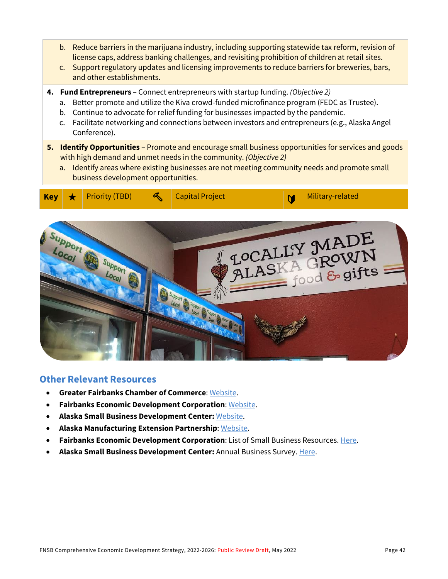- b. Reduce barriers in the marijuana industry, including supporting statewide tax reform, revision of license caps, address banking challenges, and revisiting prohibition of children at retail sites.
- c. Support regulatory updates and licensing improvements to reduce barriers for breweries, bars, and other establishments.
- **4. Fund Entrepreneurs**  Connect entrepreneurs with startup funding. *(Objective 2)*
	- a. Better promote and utilize the Kiva crowd-funded microfinance program (FEDC as Trustee).
	- b. Continue to advocate for relief funding for businesses impacted by the pandemic.
	- c. Facilitate networking and connections between investors and entrepreneurs (e.g., Alaska Angel Conference).
- **5. Identify Opportunities** Promote and encourage small business opportunities for services and goods with high demand and unmet needs in the community. *(Objective 2)*
	- a. Identify areas where existing businesses are not meeting community needs and promote small business development opportunities.





#### **Other Relevant Resources**

- **Greater Fairbanks Chamber of Commerce**[: Website.](https://www.fairbankschamber.org/)
- **Fairbanks Economic Development Corporation**[: Website.](https://www.investfairbanks.com/)
- **Alaska Small Business Development Center:** [Website.](https://aksbdc.org/)
- **Alaska Manufacturing Extension Partnership**: [Website.](https://alaska-mep.com/)
- **Fairbanks Economic Development Corporation**: List of Small Business Resources[. Here.](https://www.investfairbanks.com/business-resources/)
- **Alaska Small Business Development Center:** Annual Business Survey. [Here.](https://aksbdc.org/about/annual-reports/)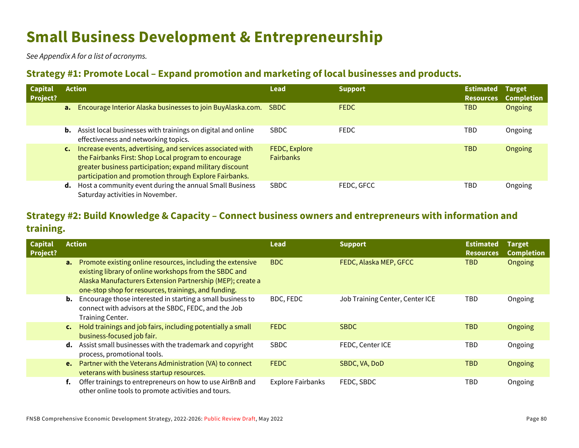# **Small Business Development & Entrepreneurship**

*See Appendix A for a list of acronyms.*

### **Strategy #1: Promote Local – Expand promotion and marketing of local businesses and products.**

| <b>Capital</b><br><b>Project?</b> |                | <b>Action</b>                                                                                                                                                                                                                            | Lead                              | <b>Support</b> | <b>Estimated</b><br><b>Resources</b> | <b>Target</b><br><b>Completion</b> |
|-----------------------------------|----------------|------------------------------------------------------------------------------------------------------------------------------------------------------------------------------------------------------------------------------------------|-----------------------------------|----------------|--------------------------------------|------------------------------------|
|                                   |                | a. Encourage Interior Alaska businesses to join BuyAlaska.com.                                                                                                                                                                           | <b>SBDC</b>                       | <b>FEDC</b>    | <b>TBD</b>                           | <b>Ongoing</b>                     |
|                                   |                | <b>b.</b> Assist local businesses with trainings on digital and online<br>effectiveness and networking topics.                                                                                                                           | <b>SBDC</b>                       | <b>FEDC</b>    | TBD                                  | Ongoing                            |
|                                   | $\mathsf{c}$ . | Increase events, advertising, and services associated with<br>the Fairbanks First: Shop Local program to encourage<br>greater business participation; expand military discount<br>participation and promotion through Explore Fairbanks. | FEDC, Explore<br><b>Fairbanks</b> |                | <b>TBD</b>                           | <b>Ongoing</b>                     |
|                                   |                | d. Host a community event during the annual Small Business<br>Saturday activities in November.                                                                                                                                           | <b>SBDC</b>                       | FEDC, GFCC     | TBD                                  | Ongoing                            |

## **Strategy #2: Build Knowledge & Capacity – Connect business owners and entrepreneurs with information and training.**

| <b>Capital</b> | <b>Action</b>  |                                                                                                                                                                                                                                                      | Lead                     | <b>Support</b>                  | <b>Estimated</b>               | <b>Target</b>                |
|----------------|----------------|------------------------------------------------------------------------------------------------------------------------------------------------------------------------------------------------------------------------------------------------------|--------------------------|---------------------------------|--------------------------------|------------------------------|
| Project?       |                | <b>a.</b> Promote existing online resources, including the extensive<br>existing library of online workshops from the SBDC and<br>Alaska Manufacturers Extension Partnership (MEP); create a<br>one-stop shop for resources, trainings, and funding. | <b>BDC</b>               | FEDC, Alaska MEP, GFCC          | <b>Resources</b><br><b>TBD</b> | <b>Completion</b><br>Ongoing |
|                | b.             | Encourage those interested in starting a small business to<br>connect with advisors at the SBDC, FEDC, and the Job<br>Training Center.                                                                                                               | BDC, FEDC                | Job Training Center, Center ICE | <b>TBD</b>                     | Ongoing                      |
|                | $\mathsf{c}$ . | Hold trainings and job fairs, including potentially a small<br>business-focused job fair.                                                                                                                                                            | <b>FEDC</b>              | <b>SBDC</b>                     | <b>TBD</b>                     | Ongoing                      |
|                |                | <b>d.</b> Assist small businesses with the trademark and copyright<br>process, promotional tools.                                                                                                                                                    | <b>SBDC</b>              | FEDC, Center ICE                | <b>TBD</b>                     | Ongoing                      |
|                |                | <b>e.</b> Partner with the Veterans Administration (VA) to connect<br>veterans with business startup resources.                                                                                                                                      | <b>FEDC</b>              | SBDC, VA, DoD                   | <b>TBD</b>                     | Ongoing                      |
|                | f.             | Offer trainings to entrepreneurs on how to use AirBnB and<br>other online tools to promote activities and tours.                                                                                                                                     | <b>Explore Fairbanks</b> | FEDC, SBDC                      | <b>TBD</b>                     | Ongoing                      |